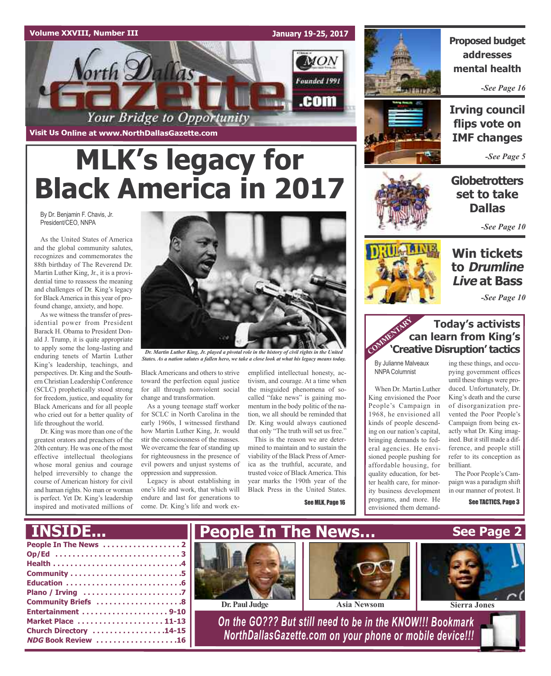#### **Volume XXVIII, Number III**

**January 19-25, 2017**



# **MLK's legacy for Black America in 2017**

By Dr. Benjamin F. Chavis, Jr. President/CEO, NNPA

As the United States of America and the global community salutes, recognizes and commemorates the 88th birthday of The Reverend Dr. Martin Luther King, Jr., it is a providential time to reassess the meaning and challenges of Dr. King's legacy for BlackAmerica in this year of profound change, anxiety, and hope.

As we witness the transfer of presidential power from President Barack H. Obama to President Donald J. Trump, it is quite appropriate to apply some the long-lasting and enduring tenets of Martin Luther King's leadership, teachings, and perspectives. Dr. King and the Southern Christian Leadership Conference (SCLC) prophetically stood strong for freedom, justice, and equality for Black Americans and for all people who cried out for a better quality of life throughout the world.

Dr. King was more than one of the greatest orators and preachers of the 20th century. He was one of the most effective intellectual theologians whose moral genius and courage helped irreversibly to change the course of American history for civil and human rights. No man or woman is perfect. Yet Dr. King's leadership inspired and motivated millions of



*Dr. Martin Luther King, Jr. played a pivotal role in the history of civil rights in the United* States. As a nation salutes a fallen hero, we take a close look at what his legacy means today.

Black Americans and others to strive emplified intellectual honesty, actoward the perfection equal justice for all through nonviolent social change and transformation.

As a young teenage staff worker for SCLC in North Carolina in the early 1960s, I witnessed firsthand how Martin Luther King, Jr. would stir the consciousness of the masses. We overcame the fear of standing up for righteousness in the presence of evil powers and unjust systems of oppression and suppression.

Legacy is about establishing in one's life and work, that which will endure and last for generations to come. Dr. King's life and work ex-

tivism, and courage. At a time when the misguided phenomena of socalled "fake news" is gaining momentum in the body politic of the nation, we all should be reminded that Dr. King would always cautioned that only "The truth will set us free."

This is the reason we are determined to maintain and to sustain the viability of the Black Press of America as the truthful, accurate, and trusted voice of BlackAmerica. This year marks the 190th year of the Black Press in the United States.

See MLK, Page 16



**Proposed budget addresses mental health**

*-See Page 16*



**Irving council flips vote on IMF changes**

*-See Page 5*

### **Globetrotters set to take Dallas**

*-See Page 10*

### **Win tickets to Drumline Live at Bass**

*-See Page 10*

### **Today's activists can learn from King's Today's activists<br>
<b>COMMERTARY**<br> **Creative Disruption' tactics COMMERTARY**

By Julianne Malveaux NNPA Columnist

When Dr. Martin Luther King envisioned the Poor People's Campaign in 1968, he envisioned all kinds of people descending on our nation's capital, bringing demands to federal agencies. He envisioned people pushing for affordable housing, for quality education, for better health care, for minority business development programs, and more. He envisioned them demand-

ing these things, and occupying government offices until these things were produced. Unfortunately, Dr. King's death and the curse of disorganization prevented the Poor People's Campaign from being exactly what Dr. King imagined. But itstill made a difference, and people still refer to its conception as brilliant.

The Poor People's Campaign was a paradigm shift in our manner of protest. It

See TACTICS, Page 3

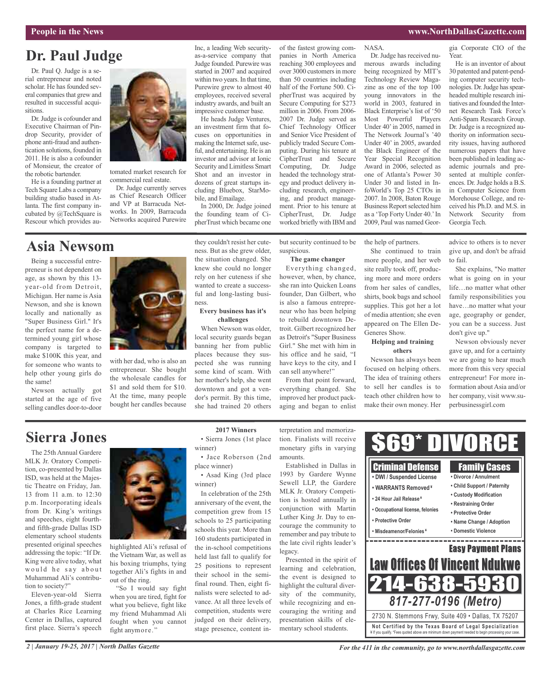#### **People in the News www.NorthDallasGazette.com**

### **Dr. Paul Judge**

Dr. Paul Q. Judge is a serial entrepreneur and noted scholar. He has founded several companies that grew and resulted in successful acquisitions.

Dr.Judge is cofounder and Executive Chairman of Pindrop Security, provider of phone anti-fraud and authentication solutions, founded in 2011. He is also a cofounder of Monsieur, the creator of the robotic bartender.

He is a founding partner at Tech Square Labs a company building studio based in Atlanta. The first company incubated by @TechSquare is Rescour which provides au-



tomated market research for commercial real estate.

Dr. Judge currently serves as Chief Research Officer and VP at Barracuda Networks. In 2009, Barracuda Networks acquired Purewire

### **Asia Newsom**

Being a successful entrepreneur is not dependent on age, as shown by this 13 year-old from Detroit, Michigan. Her name is Asia Newson, and she is known locally and nationally as "Super Business Girl." It's the perfect name for a determined young girl whose company is targeted to make \$100K this year, and for someone who wants to help other young girls do the same!

Newson actually got started at the age of five selling candles door-to-door



with her dad, who is also an entrepreneur. She bought the wholesale candles for \$1 and sold them for \$10. At the time, many people bought her candles because they couldn't resist her cuteness. But as she grew older, the situation changed. She knew she could no longer rely on her cuteness if she wanted to create a successful and long-lasting business.

In 2000, Dr. Judge joined the founding team of CipherTrust which became one

bile, and Emailage.

Inc, a leading Web securityas-a-service company that Judge founded. Purewire was started in 2007 and acquired within two years. In that time, Purewire grew to almost 40 employees, received several industry awards, and built an impressive customer base. He heads Judge Ventures, an investment firm that focuses on opportunities in making the Internet safe, useful, and entertaining. He is an investor and advisor at Ionic Security and Limitless Smart Shot and an investor in dozens of great startups including Bluebox, StarMo-

### **challenges**

When Newson was older, local security guards began banning her from public places because they suspected she was running some kind of scam. With her mother's help, she went downtown and got a vendor's permit. By this time, she had trained 20 others

of the fastest growing companies in North America reaching 300 employees and over 3000 customers in more than 50 countries including half of the Fortune 500. CipherTrust was acquired by Secure Computing for \$273 million in 2006. From 2006- 2007 Dr. Judge served as Chief Technology Officer and Senior Vice President of publicly traded Secure Computing. During his tenure at CipherTrust and Secure Computing, Dr. Judge headed the technology strategy and product delivery including research, engineering, and product management. Prior to his tenure at CipherTrust, Dr. Judge worked briefly with IBM and

but security continued to be suspicious.

#### **The game changer**

Everything changed, however, when, by chance, she ran into Quicken Loans founder, Dan Gilbert, who is also a famous entrepreneur who has been helping to rebuild downtown Detroit. Gilbert recognized her as Detroit's "Super Business Girl." She met with him in his office and he said, "I have keys to the city, and I can sell anywhere!"

From that point forward, everything changed. She improved her product packaging and began to enlist merous awards including being recognized by MIT's Technology Review Magazine as one of the top 100 young innovators in the world in 2003, featured in Black Enterprise's list of '50 Most Powerful Players Under 40'in 2005, named in The Network Journal's '40 Under 40' in 2005, awarded the Black Engineer of the Year Special Recognition Award in 2006, selected as one of Atlanta's Power 30 Under 30 and listed in InfoWorld's Top 25 CTOs in 2007. In 2008, Baton Rouge Business Report selected him as a 'Top Forty Under 40.'In 2009, Paul was named Geor-

Dr. Judge has received nu-

NASA.

gia Corporate CIO of the Year.

He is an inventor of about 30 patented and patent-pending computer security technologies. Dr.Judge hasspearheaded multiple research initiatives and founded the Internet Research Task Force's Anti-Spam Research Group. Dr. Judge is a recognized authority on information security issues, having authored numerous papers that have been published in leading academic journals and presented at multiple conferences. Dr.Judge holds a B.S. in Computer Science from Morehouse College, and received his Ph.D. and M.S. in Network Security from Georgia Tech.

the help of partners.

She continued to train more people, and her web site really took off, producing more and more orders from her sales of candles, shirts, book bags and school supplies. This got her a lot of media attention; she even appeared on The Ellen De-Generes Show.

#### **Helping and training others**

Newson has always been focused on helping others. The idea of training others to sell her candles is to teach other children how to make their own money. Her

advice to others is to never give up, and don't be afraid to fail.

She explains, "No matter what is going on in your life…no matter what other family responsibilities you have…no matter what your age, geography or gender, you can be a success. Just don't give up."

Newson obviously never gave up, and for a certainty we are going to hear much more from this very special entrepreneur! For more information about Asia and/or her company, visit www.superbusinessgirl.com

### **Sierra Jones**

The 25th Annual Gardere MLK Jr. Oratory Competition, co-presented by Dallas ISD, was held at the Majestic Theatre on Friday, Jan. 13 from 11 a.m. to 12:30 p.m. Incorporating ideals from Dr. King's writings and speeches, eight fourthand fifth-grade Dallas ISD elementary school students presented original speeches addressing the topic: "If Dr. King were alive today, what would he say about Muhammad Ali's contribution to society?"

Eleven-year-old Sierra Jones, a fifth-grade student at Charles Rice Learning Center in Dallas, captured first place. Sierra's speech



highlighted Ali's refusal of the Vietnam War, as well as his boxing triumphs, tying together Ali's fights in and out of the ring.

"So I would say fight when you are tired, fight for what you believe, fight like my friend Muhammad Ali fought when you cannot fight anymore."

#### **2017 Winners**

• Sierra Jones (1st place winner)

• Jace Roberson (2nd place winner)

• Asad King (3rd place winner)

In celebration of the 25th anniversary of the event, the competition grew from 15 schools to 25 participating schools this year. More than 160 students participated in the in-school competitions held last fall to qualify for 25 positions to represent their school in the semifinal round. Then, eight finalists were selected to advance. At all three levels of competition, students were judged on their delivery, stage presence, content in-

terpretation and memorization. Finalists will receive monetary gifts in varying amounts.

Established in Dallas in 1993 by Gardere Wynne Sewell LLP, the Gardere MLK Jr. Oratory Competition is hosted annually in conjunction with Martin Luther King Jr. Day to encourage the community to remember and pay tribute to the late civil rights leader's legacy.

Presented in the spirit of learning and celebration, the event is designed to highlight the cultural diversity of the community, while recognizing and encouraging the writing and presentation skills of elementary school students.



**Not Ce rtified by the Te x a s Boa rd of Lega l Spe c ia l i za tion** ¥ If you qualify. \*Fees quoted above are minimum down payment needed to begin processing your case. 2730 N. Stemmons Frwy, Suite 409 • Dallas, TX 75207

**Every business has it's**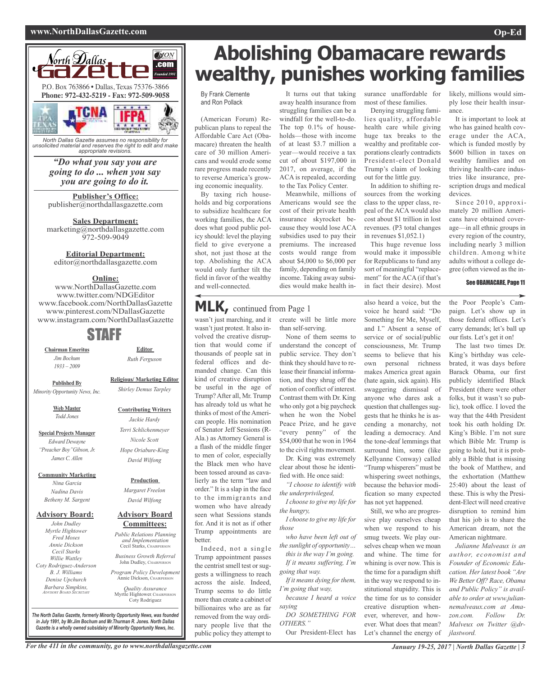#### **www.NorthDallasGazette.com Op-Ed**



*unsolicited material and reserves the right to edit and make appropriate revisions.*

#### *"Do what you say you are going to do ... when you say you are going to do it.*

**Publisher's Office:** publisher@northdallasgazette.com

**Sales Department:** marketing@northdallasgazette.com 972-509-9049

### **Editorial Department:**

editor@northdallasgazette.com

#### **Online:**

www.NorthDallasGazette.com www.twitter.com/NDGEditor www.facebook.com/NorthDallasGazette www.pinterest.com/NDallasGazette www.instagram.com/NorthDallasGazette

### STAFF

**Chairman Emeritus** *Jim Bochum 1933 – 2009*

*Ruth Ferguson* **Religious/ Marketing Editor**

*Shirley Demus Tarpley*

**Contributing Writers** *Jackie Hardy Terri Schlichenmeyer Nicole Scott Hope Oriabure-King David Wilfong*

**Editor**

**Published By** *Minority Opportunity News, Inc.*

> **Web Master** *Todd Jones*

**Special Projects Manager** *Edward Dewayne "Preacher Boy"Gibson, Jr. James C. Allen*

**Community Marketing** *Nina Garcia*

*Nadina Davis Betheny M. Sargent*

#### **Advisory Board:**

*John Dudley Myrtle Hightower Fred Moses Annie Dickson Cecil Starks Willie Wattley Coty Rodriguez-Anderson B. J. Williams Denise Upchurch Barbara Simpkins, ADVISORY BOARD SECRETARY*

**Advisory Board Committees:** *David Wilfong Public Relations Planning and Implementation*

**Production** *Margaret Freelon*

Cecil Starks, CHAIRPERSON *Business Growth Referral* John Dudley, CHAIRPERSON

*Program Policy Development* Annie Dickson, CHAIRPER

*Quality Assurance* Myrtle Hightower, CHAIRPERSON Coty Rodriguez

*The North Dallas Gazette, formerly Minority Opportunity News, was founded in July 1991, by Mr.Jim Bochum and Mr.Thurman R. Jones. North Dallas Gazette is a wholly owned subsidairy of Minority Opportunity News, Inc.*

## **Abolishing Obamacare rewards wealthy, punishes working families**

#### By Frank Clemente and Ron Pollack

(American Forum) Republican plans to repeal the Affordable Care Act (Obamacare) threaten the health care of 30 million Americans and would erode some rare progress made recently to reverse America's growing economic inequality.

By taxing rich households and big corporations to subsidize healthcare for working families, the ACA does what good public policy should: level the playing field to give everyone a shot, not just those at the top. Abolishing the ACA would only further tilt the field in favor of the wealthy and well-connected.

It turns out that taking away health insurance from struggling families can be a windfall for the well-to-do. The top  $0.1\%$  of households—those with income of at least \$3.7 million a year—would receive a tax cut of about \$197,000 in 2017, on average, if the ACA is repealed, according to the Tax Policy Center.

Meanwhile, millions of Americans would see the cost of their private health insurance skyrocket because they would lose ACA subsidies used to pay their premiums. The increased costs would range from about \$4,000 to \$6,000 per family, depending on family income. Taking away subsidies would make health in-

surance unaffordable for most of these families.

Denying struggling families quality, affordable health care while giving huge tax breaks to the wealthy and profitable corporations clearly contradicts President-elect Donald Trump's claim of looking out for the little guy.

In addition to shifting resources from the working class to the upper class, repeal of the ACA would also cost about \$1 trillion in lost revenues. (P3 total changes in revenues \$1,052.1)

This huge revenue loss would make it impossible for Republicans to fund any sort of meaningful "replacement" for the ACA (if that's in fact their desire). Most

likely, millions would simply lose their health insurance.

It is important to look at who has gained health coverage under the ACA, which is funded mostly by \$600 billion in taxes on wealthy families and on thriving health-care industries like insurance, prescription drugs and medical devices.

Since 2010, approximately 20 million Americans have obtained coverage—in all ethnic groups in every region of the country, including nearly 3 million children. Among white adults without a college degree (often viewed as the in-

#### See OBAMACARE, Page 11

**MLK,** continued from Page <sup>1</sup>

wasn't just marching, and it create will be little more wasn't just protest. It also involved the creative disruption that would come if thousands of people sat in federal offices and demanded change. Can this kind of creative disruption be useful in the age of Trump?After all, Mr. Trump has already told us what he thinks of most of the American people. His nomination of Senator Jeff Sessions (R-Ala.) as Attorney General is a flash of the middle finger to men of color, especially the Black men who have been tossed around as cavalierly as the term "law and order." It is a slap in the face to the immigrants and women who have already seen what Sessions stands for. And it is not as if other Trump appointments are better.

Indeed, not a single Trump appointment passes the centrist smell test or suggests a willingness to reach across the aisle. Indeed, Trump seems to do little more than create a cabinet of billionaires who are as far removed from the way ordinary people live that the public policy they attempt to

than self-serving.

None of them seems to understand the concept of public service. They don't think they should have to release their financial information, and they shrug off the notion of conflict of interest. Contrast them with Dr. King who only got a big paycheck when he won the Nobel Peace Prize, and he gave "every penny" of the \$54,000 that he won in 1964 to the civil rights movement. Dr. King was extremely

clear about those he identified with. He once said: *"I choose to identify with*

*the underprivileged, I choose to give my life for*

*the hungry, I choose to give my life for*

*those who have been left out of*

*the sunlight of opportunity… this is the way I'm going.*

*If it means suffering, I'm going that way. If it means dying for them*,

*I'm going that way, because I heard a voice*

*saying DO SOMETHING FOR*

*OTHERS."* Our President-Elect has also heard a voice, but the voice he heard said: "Do Something for Me, Myself, and I." Absent a sense of service or of social/public consciousness, Mr. Trump seems to believe that his own personal richness makes America great again (hate again, sick again). His swaggering dismissal of anyone who dares ask a question that challenges suggests that he thinks he is ascending a monarchy, not leading a democracy. And the tone-deaf lemmings that surround him, some (like Kellyanne Conway) called "Trump whisperers" must be whispering sweet nothings, because the behavior modification so many expected has not yet happened.

Still, we who are progressive play ourselves cheap when we respond to his smug tweets. We play ourselves cheap when we moan and whine. The time for whining is over now. This is the time for a paradigm shift in the way we respond to institutional stupidity. This is the time for us to consider creative disruption whenever, wherever, and however. What does that mean? Let's channel the energy of

the Poor People's Campaign. Let's show up in those federal offices. Let's carry demands; let's ball up our fists. Let's get it on!

The last two times Dr. King's birthday was celebrated, it was days before Barack Obama, our first publicly identified Black President (there were other folks, but it wasn't so public), took office. I loved the way that the 44th President took his oath holding Dr. King's Bible. I'm not sure which Bible Mr. Trump is going to hold, but it is probably a Bible that is missing the book of Matthew, and the exhortation (Matthew 25:40) about the least of these. This is why the President-Elect will need creative disruption to remind him that his job is to share the American dream, not the American nightmare.

*Julianne Malveaux is an author, economist and Founder of Economic Education. Her latest book "Are We Better Off? Race, Obama and Public Policy" is available to order at www.juliannemalveaux.com at Amazon.com. Follow Dr. Malveux on Twitter @drjlastword.*

For the 411 in the community, go to www.northdallasgazette.com January 19-25, 2017 North Dallas Gazette | 3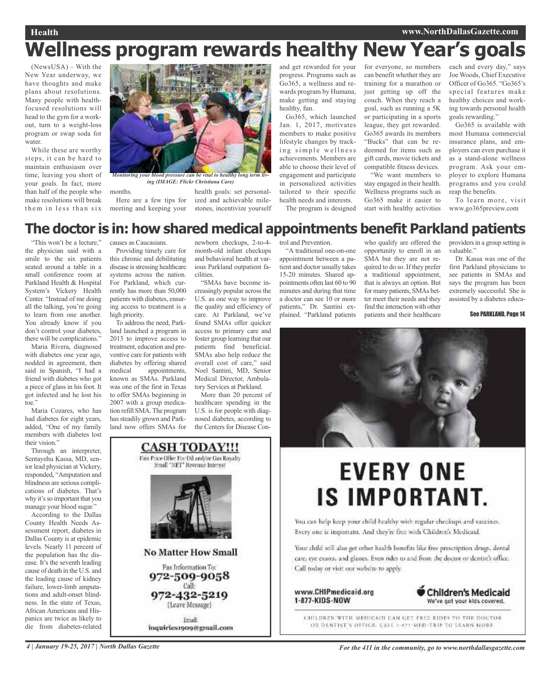### **Health www.NorthDallasGazette.com Wellness program rewards healthy New Year's goals**

(NewsUSA) – With the New Year underway, we have thoughts and make plans about resolutions. Many people with healthfocused resolutions will head to the gym for a workout, turn to a weight-loss program or swap soda for water.

While these are worthy steps, it can be hard to maintain enthusiasm over time, leaving you short of your goals. In fact, more than half of the people who make resolutions will break them in less than six



*Monitoring your blood pressure can be vital to healthy long term living (IMAGE: Flickr Christiana Care)*

months. meeting and keeping your

Here are a few tips for ized and achievable milehealth goals: set personalstones, incentivize yourself and get rewarded for your progress. Programs such as Go365, a wellness and rewards program by Humana, make getting and staying healthy, fun.

Go365, which launched Jan. 1, 2017, motivates members to make positive lifestyle changes by tracking simple wellness achievements. Members are able to choose their level of engagement and participate in personalized activities tailored to their specific health needs and interests.

The program is designed

for everyone, so members can benefit whether they are training for a marathon or just getting up off the couch. When they reach a goal, such as running a 5K or participating in a sports league, they get rewarded. Go365 awards its members "Bucks" that can be redeemed for items such as gift cards, movie tickets and compatible fitness devices.

"We want members to stay engaged in their health. Wellness programs such as Go365 make it easier to start with healthy activities each and every day," says Joe Woods, Chief Executive Officer of Go365. "Go365's special features make healthy choices and working towards personal health goals rewarding."

Go365 is available with most Humana commercial insurance plans, and employers can even purchase it as a stand-alone wellness program. Ask your employer to explore Humana programs and you could reap the benefits.

To learn more, visit www.go365preview.com

### **The doctor is in: how shared medical appointments benefit Parkland patients**

"This won't be a lecture," the physician said with a smile to the six patients seated around a table in a small conference room at Parkland Health & Hospital System's Vickery Health Center. "Instead of me doing all the talking, you're going to learn from one another. You already know if you don't control your diabetes, there will be complications."

Maria Rivera, diagnosed with diabetes one year ago, nodded in agreement, then said in Spanish, "I had a friend with diabetes who got a piece of glass in his foot. It got infected and he lost his toe."

Maria Cozares, who has had diabetes for eight years, added, "One of my family members with diabetes lost their vision."

Through an interpreter, Sentayehu Kassa, MD, senior lead physician at Vickery, responded, "Amputation and blindness are serious complications of diabetes. That's why it's so important that you manage your blood sugar."

According to the Dallas County Health Needs Assessment report, diabetes in Dallas County is at epidemic levels. Nearly 11 percent of the population has the disease. It's the seventh leading cause of death in the U.S. and the leading cause of kidney failure, lower-limb amputations and adult-onset blindness. In the state of Texas, African Americans and Hispanics are twice as likely to die from diabetes-related

causes as Caucasians. Providing timely care for this chronic and debilitating disease is stressing healthcare systems across the nation. For Parkland, which currently has more than 50,000 patients with diabetes, ensur-

ing access to treatment is a

high priority. To address the need, Parkland launched a program in 2013 to improve access to treatment, education and preventive care for patients with diabetes by offering shared<br>medical appointments. appointments, known as SMAs. Parkland was one of the first in Texas to offer SMAs beginning in 2007 with a group medication refill SMA.The program has steadily grown and Parkland now offers SMAs for

newborn checkups, 2-to-4 month-old infant checkups and behavioral health at various Parkland outpatient facilities.

"SMAs have become increasingly popular across the U.S. as one way to improve the quality and efficiency of care. At Parkland, we've found SMAs offer quicker access to primary care and foster group learning that our patients find beneficial. SMAs also help reduce the overall cost of care," said Noel Santini, MD, Senior Medical Director, Ambulatory Services at Parkland.

More than 20 percent of healthcare spending in the U.S. is for people with diagnosed diabetes, according to the Centers for Disease Con-

**CASH TODAY!!!** Fair Price Offer For Oil and/or Gas Royalty Small "NET" Revenue Interest

**No Matter How Small** 

Fax Information To:

972-509-9058 Call:

972-432-5219

(Leave Message)

Eriail:

inquiries1909@gmail.com

trol and Prevention.

"A traditional one-on-one appointment between a patient and doctor usually takes 15-20 minutes. Shared appointments often last 60 to 90 minutes and during that time a doctor can see 10 or more patients," Dr. Santini explained. "Parkland patients

who qualify are offered the opportunity to enroll in an SMA but they are not required to do so. If they prefer a traditional appointment, that is always an option. But for many patients, SMAs better meet their needs and they find the interaction with other patients and their healthcare

providers in a group setting is valuable."

Dr. Kassa was one of the first Parkland physicians to see patients in SMAs and says the program has been extremely successful. She is assisted by a diabetes educa-

#### See PARKLAND, Page 14



# **EVERY ONE IS IMPORTANT.**

You can help keep your child healthy with regular checkups and vaccines. Every one is important. And they're free with Children's Medicaid.

Your child will also get other health benefits like free prescription drugs, dental care, eye exams, and glasses. Even rides to and from the doctor or dentist's office. Call today or visit our website to apply.

www.CHIPmedicaid.org 1-877-KIDS-NOW



CHILDREN WITH MEDICAIN CAN GET FREE RIDES TO THE DOCTOR DR DENTIST'S DEFICE. CALL 1-477-MED-TRIP TO LEARN MORE.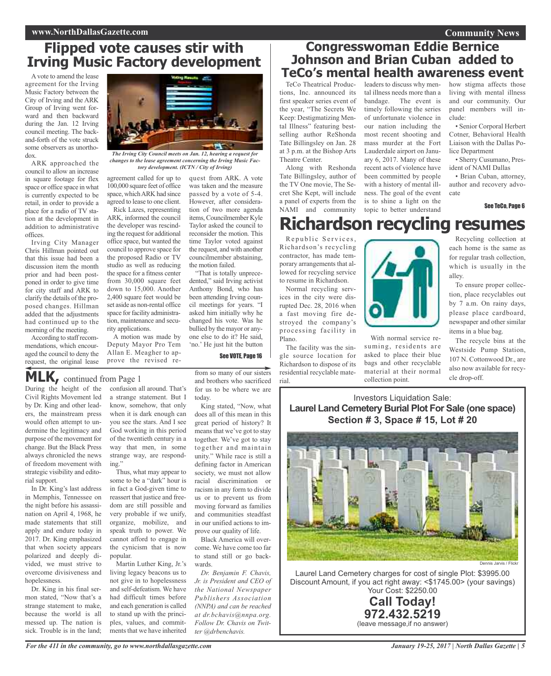### **Flipped vote causes stir with Irving Music Factory development**

Avote to amend the lease agreement for the Irving Music Factory between the City of Irving and the ARK Group of Irving went forward and then backward during the Jan. 12 Irving council meeting. The backand-forth of the vote struck some observers as unorthodox.

ARK approached the council to allow an increase in square footage for flex space or office space in what is currently expected to be retail, in order to provide a place for a radio of TV station at the development in addition to administrative offices.

Irving City Manager Chris Hillman pointed out that this issue had been a discussion item the month prior and had been postponed in order to give time for city staff and ARK to clarify the details of the proposed changes. Hillman added that the adjustments had continued up to the morning of the meeting.

According to staff recommendations, which encouraged the council to deny the request, the original lease

During the height of the Civil Rights Movement led by Dr. King and other leaders, the mainstream press would often attempt to undermine the legitimacy and purpose of the movement for change. But the Black Press always chronicled the news of freedom movement with strategic visibility and edito-

**MLK,** continued from Page <sup>1</sup>

In Dr. King's last address in Memphis, Tennessee on the night before his assassination on April 4, 1968, he made statements that still apply and endure today in 2017. Dr. King emphasized that when society appears polarized and deeply divided, we must strive to overcome divisiveness and

Dr. King in his final sermon stated, "Now that's a strange statement to make, because the world is all messed up. The nation is sick. Trouble is in the land;

rial support.

hopelessness.



*The Irving City Council meets on Jan. 12, hearing a request for changes to the lease agreement concerning the Irving Music Factory development. (ICTN / City of Irving)*

agreement called for up to 100,000 square feet of office space, which ARK had since agreed to lease to one client.

Rick Lazes, representing ARK, informed the council the developer was rescinding the request for additional office space, but wanted the council to approve space for the proposed Radio or TV studio as well as reducing the space for a fitness center from 30,000 square feet down to 15,000. Another 2,400 square feet would be set aside as non-rental office space for facility administration, maintenance and security applications.

A motion was made by Deputy Mayor Pro Tem Allan E. Meagher to approve the revised re-

confusion all around. That's a strange statement. But I know, somehow, that only when it is dark enough can you see the stars. And I see God working in this period of the twentieth century in a way that men, in some strange way, are respond-

Thus, what may appear to some to be a "dark" hour is in fact a God-given time to reassert that justice and freedom are still possible and very probable if we unify, organize, mobilize, and speak truth to power. We cannot afford to engage in the cynicism that is now

Martin Luther King, Jr.'s living legacy beacons us to not give in to hopelessness and self-defeatism. We have had difficult times before and each generation is called to stand up with the principles, values, and commitments that we have inherited

quest from ARK. A vote was taken and the measure passed by a vote of 5-4. However, after consideration of two more agenda items, Councilmember Kyle Taylor asked the council to reconsider the motion. This time Taylor voted against the request, and with another councilmember abstaining, the motion failed.

"That is totally unprecedented," said Irving activist Anthony Bond, who has been attending Irving council meetings for years. "I asked him initially why he changed his vote. Was he bullied by the mayor or anyone else to do it? He said, 'no.' He just hit the button

#### See VOTE, Page 16

from so many of our sisters and brothers who sacrificed for us to be where we are today.

King stated, "Now, what does all of this mean in this great period of history? It means that we've got to stay together. We've got to stay together and maintain unity." While race is still a defining factor in American society, we must not allow racial discrimination or racism in any form to divide us or to prevent us from moving forward as families and communities steadfast in our unified actions to improve our quality of life.

Black America will overcome. We have come too far to stand still or go backwards.

*Dr. Benjamin F. Chavis, Jr. is President and CEO of the National Newspaper Publishers Association (NNPA) and can be reached at dr.bchavis@nnpa.org. Follow Dr. Chavis on Twitter @drbenchavis.*

### **Congresswoman Eddie Bernice Johnson and Brian Cuban added to TeCo's mental health awareness event**

TeCo Theatrical Productions, Inc. announced its first speaker series event of the year, "The Secrets We Keep: Destigmatizing Mental Illness" featuring bestselling author ReShonda Tate Billingsley on Jan. 28 at 3 p.m. at the Bishop Arts Theatre Center.

Along with Reshonda Tate Billingsley, author of the TV One movie, The Secret She Kept, will include a panel of experts from the NAMI and community leaders to discuss why mental illness needs more than a bandage. The event is timely following the series of unfortunate violence in our nation including the most recent shooting and mass murder at the Fort Lauderdale airport on January 6, 2017. Many of these recent acts of violence have been committed by people with a history of mental illness. The goal of the event is to shine a light on the topic to better understand

how stigma affects those living with mental illness and our community. Our panel members will include:

• Senior Corporal Herbert Cotner, Behavioral Health Liaison with the Dallas Police Department

• Sherry Cusumano, President of NAMI Dallas

• Brian Cuban, attorney, author and recovery advocate

See TeCo, Page 6

## **Richardson recycling resumes**

Republic Services, Richardson's recycling contractor, has made temporary arrangements that allowed for recycling service to resume in Richardson.

Normal recycling services in the city were disprocessing facility in Plano.

The facility was the sin-



With normal service resuming, residents are asked to place their blue bags and other recyclable material at their normal collection point.

Recycling collection at each home is the same as for regular trash collection, which is usually in the alley.

To ensure proper collection, place recyclables out by 7 a.m. On rainy days, please place cardboard, newspaper and other similar items in a blue bag.

The recycle bins at the Westside Pump Station, 107 N. Cottonwood Dr., are also now available for recycle drop-off.

### Investors Liquidation Sale: **Laurel Land Cemetery Burial Plot For Sale (one space) Section # 3, Space # 15, Lot # 20**



Laurel Land Cemetery charges for cost of single Plot: \$3995.00 Discount Amount, if you act right away: <\$1745.00> (your savings) Your Cost: \$2250.00

### **Call Today! 972.432.5219** (leave message,if no answer)

*For the 411 in the community, go to www.northdallasgazette.com*

popular.

ing."

rupted Dec. 28, 2016 when a fast moving fire destroyed the company's

gle source location for Richardson to dispose of its residential recyclable material.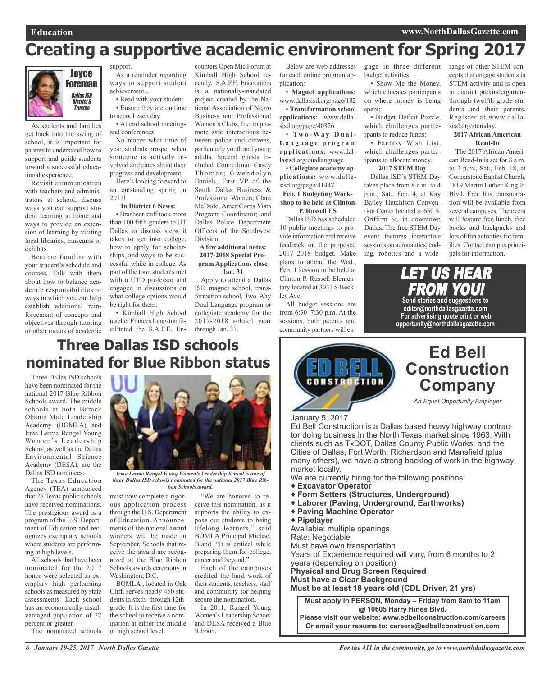## **Creating a supportive academic environment for Spring 2017**



As students and families get back into the swing of school, it is important for parents to understand how to support and guide students toward a successful educational experience.

Revisit communication with teachers and administrators at school, discuss ways you can support student learning at home and ways to provide an extension of learning by visiting local libraries, museums or exhibits.

Become familiar with your student's schedule and courses. Talk with them about how to balance academic responsibilities or ways in which you can help establish additional reinforcement of concepts and objectives through tutoring or other means of academic support. As a reminder regarding ways to support student

achievement… • Read with your student

• Ensure they are on time to school each day

• Attend school meetings and conferences

No matter what time of year, students prosper when someone is actively involved and cares about their progress and development.

Here's looking forward to an outstanding spring in 2017!

#### **In District 6 News:**

• Brashear staff took more than 100 fifth-graders to UT Dallas to discuss steps it takes to get into college, how to apply for scholarships, and ways to be successful while in college. As part of the tour, students met with a UTD professor and engaged in discussions on what college options would be right for them.

• Kimball High School teacher Frances Langston facilitated the S.A.F.E. En-through Jan. 31.

counters Open Mic Forum at Kimball High School recently. S.A.F.E. Encounters is a nationally-mandated project created by the National Association of Negro Business and Professional Women's Clubs, Inc. to promote safe interactions between police and citizens, particularly youth and young adults. Special guests included Councilman Casey Thomas; Gwendolyn Daniels, First VP of the South Dallas Business & Professional Women; Clara McDade, AmeriCorps Vista Program Coordinator; and Dallas Police Department Officers of the Southwest Division.

#### **A few additional notes: 2017-2018 Special Program Applications close Jan. 31**

Apply to attend a Dallas ISD magnet school, transformation school, Two-Way Dual Language program or collegiate academy for the 2017-2018 school year

Below are web addresses for each online program application:

• **Magnet applications:** www.dallasisd.org/page/182 • **Transformation school applications:** www.dallasisd.org/page/40326

• **Tw o - Wa y D u a l - L a n g u a g e p r o g r a m applications:** www.dallasisd.org/duallanguage

• **Collegiate academy applications:** www.dallasisd.org/page/41447 **Feb. 1 Budgeting Work-**

**shop to be held at Clinton P. Russell ES**

Dallas ISD has scheduled 10 public meetings to provide information and receive feedback on the proposed 2017–2018 budget. Make plans to attend the Wed., Feb. 1 session to be held at Clinton P. Russell Elementary located at 3031 S Beckley Ave.

All budget sessions are from 6:30–7:30 p.m. At the sessions, both parents and community partners will en-

budget activities:

• Show Me the Money, which educates participants on where money is being spent:

• Budget Deficit Puzzle, which challenges participants to reduce funds;

• Fantasy Wish List, which challenges participants to allocate money.

**2017 STEM Day** Dallas ISD's STEM Day takes place from 8 a.m. to 4 p.m., Sat., Feb. 4, at Kay Bailey Hutchison Convention Center located at 650 S. Griffi¬n St. in downtown Dallas. The free STEM Day event features interactive sessions on aeronautics, coding, robotics and a wide-

gage in three different range of other STEM concepts that engage students in STEM activity and is open to district prekindergartenthrough twelfth-grade students and their parents. Register at www.dallasisd.org/stemday.

#### **2017 African American Read-In**

The 2017 African American Read-In is set for 8 a.m. to 2 p.m., Sat., Feb. 18, at Cornerstone Baptist Church, 1819 Martin Luther King Jr. Blvd. Free bus transportation will be available from several campuses. The event will feature free lunch, free books and backpacks and lots of fun activities for families. Contact campus principals for information.

LET US HEAR FROM YOU! **Send stories and suggestions to editor@northdallasgazette.com For advertising quote print or web opportunity@northdallasgazette.com**

## **Three Dallas ISD schools nominated for Blue Ribbon status**

Three Dallas ISD schools have been nominated for the national 2017 Blue Ribbon Schools award. The middle schools at both Barack Obama Male Leadership Academy (BOMLA) and Irma Lerma Rangel Young Women's Leadership School, as well as the Dallas Environmental Science Academy (DESA), are the Dallas ISD nominees.

The Texas Education Agency (TEA) announced that 26 Texas public schools have received nominations. The prestigious award is a program of the U.S. Department of Education and recognizes exemplary schools where students are performing at high levels.

All schools that have been nominated for the 2017 honor were selected as exemplary high performing schools as measured by state assessments. Each school has an economically disadvantaged population of 22 percent or greater.

The nominated schools



*Irma Lerma Rangel Young Women's Leadership School is one of three Dallas ISD schools nominated for the national 2017 Blue Ribbon Schools award.*

must now complete a rigorous application process through the U.S. Department of Education. Announcements of the national award winners will be made in September. Schools that receive the award are recognized at the Blue Ribbon Schools awards ceremony in Washington, D.C.

BOMLA , located in Oak Cliff, serves nearly 450 students in sixth- through 12thgrade. It is the first time for the school to receive a nomination at either the middle or high school level.

"We are honored to receive this nomination, as it supports the ability to expose our students to being lifelong learners," said BOMLA Principal Michael Bland. "It is critical while preparing them for college, career and beyond."

Each of the campuses credited the hard work of their students, teachers, staff and community for helping secure the nomination.

In 2011, Rangel Young Women's Leadership School and DESA received a Blue Ribbon.



### **Ed Bell Construction Company**

*An Equal Opportunity Employer*

January 5, 2017

Ed Bell Construction is a Dallas based heavy highway contractor doing business in the North Texas market since 1963. With clients such as TxDOT, Dallas County Public Works, and the Cities of Dallas, Fort Worth, Richardson and Mansfield (plus many others), we have a strong backlog of work in the highway market locally.

- We are currently hiring for the following positions:
- **Excavator Operator**
- **Form Setters (Structures, Underground)**
- **Laborer (Paving, Underground, Earthworks)**
- **Paving Machine Operator**
- **Pipelayer**

Available: multiple openings Rate: Negotiable

Must have own transportation

Years of Experience required will vary, from 6 months to 2 years (depending on position)

**Physical and Drug Screen Required**

**Must have a Clear Background**

**Must be at least 18 years old (CDL Driver, 21 yrs)**

**Must apply in PERSON, Monday – Friday from 8am to 11am @ 10605 Harry Hines Blvd. Please visit our website: www.edbellconstruction.com/careers**

**Or email your resume to: careers@edbellconstruction.com**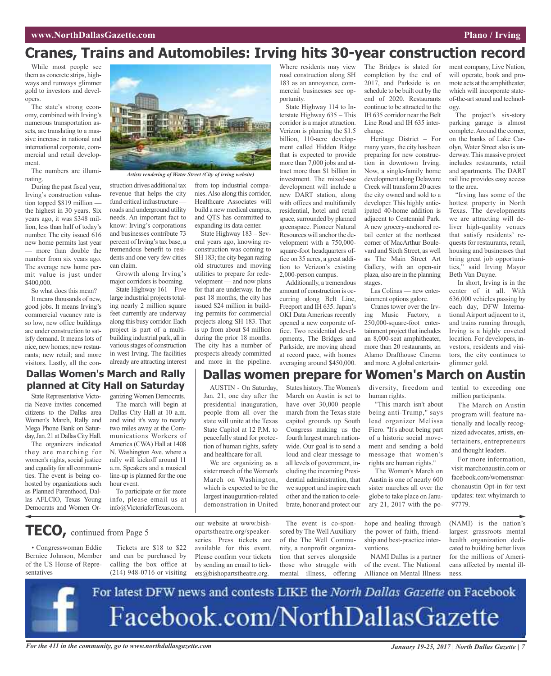### **Cranes, Trains and Automobiles: Irving hits 30-year construction record**

While most people see them as concrete strips, highways and runways glimmer gold to investors and developers.

The state's strong economy, combined with Irving's numerous transportation assets, are translating to a massive increase in national and international corporate, commercial and retail development.

The numbers are illuminating.

During the past fiscal year, Irving's construction valuation topped \$819 million the highest in 30 years. Six years ago, it was \$348 million, less than half of today's number. The city issued 616 new home permits last year — more than double the number from six years ago. The average new home permit value is just under \$400,000.

So what does this mean?

It means thousands of new, good jobs. It means Irving's commercial vacancy rate is so low, new office buildings are under construction to satisfy demand. It means lots of nice, new homes; new restaurants; new retail; and more visitors. Lastly, all the con-



*Artists rendering of Water Street (City of irving website)*

struction drives additional tax revenue that helps the city fund critical infrastructure roads and underground utility needs. An important fact to know: Irving's corporations and businesses contribute 73 percent of Irving's tax base, a tremendous benefit to residents and one very few cities can claim.

Growth along Irving's major corridors is booming.

State Highway 161 – Five large industrial projects totaling nearly 2 million square feet currently are underway along this busy corridor. Each project is part of a multibuilding industrial park, all in various stages of construction in west Irving. The facilities already are attracting interest

from top industrial companies.Also along this corridor, Healthcare Associates will build a new medical campus, and QTS has committed to expanding its data center.

State Highway 183 – Several years ago, knowing reconstruction was coming to SH 183; the city began razing old structures and moving utilities to prepare for redevelopment — and now plans for that are underway. In the past 18 months, the city has issued \$24 million in building permits for commercial projects along SH 183. That is up from about \$4 million during the prior 18 months. The city has a number of prospects already committed and more in the pipeline.

Where residents may view road construction along SH 183 as an annoyance, commercial businesses see opportunity.

State Highway 114 to Interstate Highway 635 – This corridor is a major attraction. Verizon is planning the \$1.5 billion, 110-acre development called Hidden Ridge that is expected to provide more than 7,000 jobs and attract more than \$1 billion in investment. The mixed-use development will include a new DART station, along with offices and multifamily residential, hotel and retail space, surrounded by planned greenspace. Pioneer Natural Resources will anchor the development with a 750,000 square-foot headquarters office on 35 acres, a great addition to Verizon's existing 2,000-person campus.

Additionally, a tremendous amount of construction is occurring along Belt Line, Freeport and IH 635. Japan's OKI Data Americas recently opened a new corporate office. Two residential developments, The Bridges and Parkside, are moving ahead at record pace, with homes averaging around \$450,000.

The Bridges is slated for completion by the end of 2017, and Parkside is on schedule to be built out by the end of 2020. Restaurants continue to be attracted to the IH 635 corridor near the Belt Line Road and IH 635 interchange.

Heritage District – For many years, the city has been preparing for new construction in downtown Irving. Now, a single-family home development along Delaware Creek will transform 20 acres the city owned and sold to a developer. This highly anticipated 40-home addition is adjacent to Centennial Park. A new grocery-anchored retail center at the northeast corner of MacArthur Boulevard and Sixth Street, as well as The Main Street Art Gallery, with an open-air plaza, also are in the planning stages.

Las Colinas — new entertainment options galore.

Cranes tower over the Irving Music Factory, a 250,000-square-foot entertainment project that includes an 8,000-seat amphitheater, more than 20 restaurants, an Alamo Drafthouse Cinema and more. A global entertainment company, Live Nation, will operate, book and promote acts at the amphitheater, which will incorporate stateof-the-art sound and technology.

The project's six-story parking garage is almost complete.Around the corner, on the banks of Lake Carolyn, Water Street also is underway. This massive project includes restaurants, retail and apartments. The DART rail line provides easy access to the area.

"Irving has some of the hottest property in North Texas. The developments we are attracting will deliver high-quality venues that satisfy residents' requests for restaurants, retail, housing and businesses that bring great job opportunities," said Irving Mayor Beth Van Duyne.

In short, Irving is in the center of it all. With 636,000 vehicles passing by each day, DFW International Airport adjacent to it, and trains running through, Irving is a highly coveted location. For developers, investors, residents and visitors, the city continues to glimmer gold.

### **Dallas Women's March and Rally planned at City Hall on Saturday**

State Representative Victoria Neave invites concerned citizens to the Dallas area Women's March, Rally and Mega Phone Bank on Saturday, Jan. 21 at Dallas City Hall.

The organizers indicated they are marching for women's rights, social justice and equality for all communities. The event is being cohosted by organizations such as Planned Parenthood, Dallas AFLCIO, Texas Young Democrats and Women Or-

• Congresswoman Eddie Bernice Johnson, Member of the US House of Repre-

**TECO,** continued from Page <sup>5</sup>

sentatives

ganizing Women Democrats. The march will begin at Dallas City Hall at 10 a.m. and wind it's way to nearly two miles away at the Communications Workers of America (CWA) Hall at 1408 N. Washington Ave. where a rally will kickoff around 11 a.m. Speakers and a musical line-up is planned for the one hour event.

info, please email us at info@VictoriaforTexas.com.

To participate or for more

Tickets are \$18 to \$22 and can be purchased by calling the box office at our website at www.bishopartstheatre.org/speakerseries. Press tickets are available for this event. Please confirm your tickets by sending an email to tickets@bishopartstheatre.org.

The event is co-spon-

human rights.

"This march isn't about being anti-Trump," says lead organizer Melissa Fiero. "It's about being part of a historic social movement and sending a bold message that women's rights are human rights."

The Women's March on Austin is one of nearly 600 sister marches all over the globe to take place on January 21, 2017 with the po-

hope and healing through the power of faith, friendship and best-practice interventions.

NAMI Dallas is a partner of the event. The National Alliance on Mental Illness million participants.

The March on Austin program will feature nationally and locally recognized advocates, artists, entertainers, entrepreneurs and thought leaders.

For more information, visit marchonaustin.com or facebook.com/womensmarchonaustin Opt-in for text updates: text whyimarch to 97779.

(NAMI) is the nation's largest grassroots mental health organization dedicated to building better lives for the millions of Americans affected by mental illness.



#### AUSTIN - On Saturday, States history. The Women's diversity, freedom and tential to exceeding one **Dallas women prepare for Women's March on Austin**

Jan. 21, one day after the presidential inauguration, people from all over the state will unite at the Texas State Capitol at 12 P.M. to peacefully stand for protection of human rights, safety March on Austin is set to have over 30,000 people march from the Texas state capitol grounds up South Congress making us the fourth largest march nationwide. Our goal is to send a

and healthcare for all. We are organizing as a sister march of the Women's March on Washington, which is expected to be the largest inauguration-related demonstration in United loud and clear message to all levels of government, including the incoming Presidential administration, that we support and inspire each other and the nation to celebrate, honor and protect our

> sored by The Well Auxiliary of the The Well Community, a nonprofit organization that serves alongside those who struggle with mental illness, offering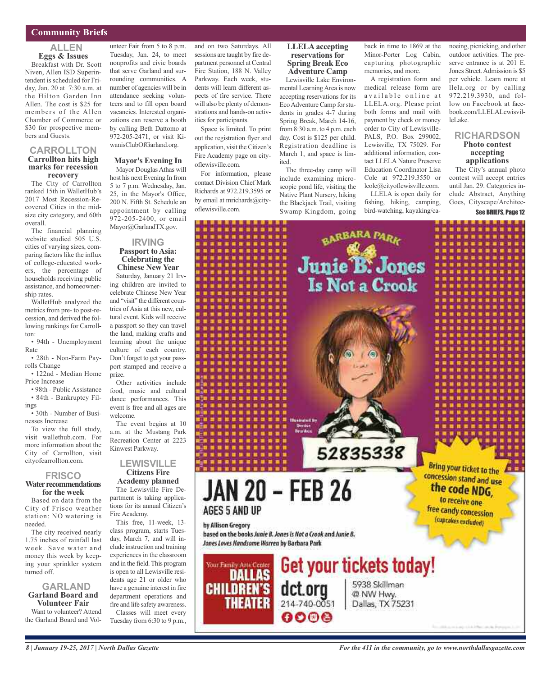#### **Community Briefs**

#### **ALLEN Eggs & Issues**

Breakfast with Dr. Scott Niven, Allen ISD Superintendent is scheduled for Friday, Jan. 20 at 7:30 a.m. at the Hilton Garden Inn Allen. The cost is \$25 for members of the Allen Chamber of Commerce or \$30 for prospective members and Guests.

#### **CARROLLTON Carrollton hits high marks for recession recovery**

The City of Carrollton ranked 15th in WalletHub's 2017 Most Recession-Recovered Cities in the midsize city category, and 60th overall.

The financial planning website studied 505 U.S. cities of varying sizes, comparing factors like the influx of college-educated workers, the percentage of households receiving public assistance, and homeownership rates.

WalletHub analyzed the metrics from pre- to post-recession, and derived the following rankings for Carrollton:

• 94th - Unemployment Rate

• 28th - Non-Farm Payrolls Change

• 122nd - Median Home Price Increase

• 98th - Public Assistance • 84th - Bankruptcy Filings

• 30th - Number of Businesses Increase

To view the full study, visit wallethub.com. For more information about the City of Carrollton, visit cityofcarrollton.com.

#### **FRISCO**

#### **Water recommendations for the week**

Based on data from the City of Frisco weather station: NO watering is needed.

The city received nearly 1.75 inches of rainfall last week. Save water and money this week by keeping your sprinkler system turned off.

#### **GARLAND Garland Board and Volunteer Fair**

Want to volunteer? Attend the Garland Board and Vol-

unteer Fair from 5 to 8 p.m. Tuesday, Jan. 24, to meet nonprofits and civic boards that serve Garland and surrounding communities. A number of agencies will be in attendance seeking volunteers and to fill open board vacancies. Interested organizations can reserve a booth by calling Beth Dattomo at 972-205-2471, or visit KiwanisClubOfGarland.org.

#### **Mayor's Evening In**

Mayor Douglas Athas will host his next Evening In from 5 to 7 p.m. Wednesday, Jan. 25, in the Mayor's Office, 200 N. Fifth St. Schedule an appointment by calling 972-205-2400, or email Mayor@GarlandTX.gov.

#### **IRVING Passport to Asia: Celebrating the Chinese New Year**

Saturday, January 21 Irving children are invited to celebrate Chinese New Year and "visit" the different countries of Asia at this new, cultural event. Kids will receive a passport so they can travel the land, making crafts and learning about the unique culture of each country. Don't forget to get your passport stamped and receive a prize.

Other activities include food, music and cultural dance performances. This event is free and all ages are welcome.

The event begins at 10 a.m. at the Mustang Park Recreation Center at 2223 Kinwest Parkway.

#### **LEWISVILLE Citizens Fire Academy planned**

The Lewisville Fire Department is taking applications for its annual Citizen's

Fire Academy. This free, 11-week, 13 class program, starts Tuesday, March 7, and will include instruction and training experiences in the classroom and in the field.This program is open to all Lewisville residents age 21 or older who have a genuine interest in fire department operations and fire and life safety awareness.

Classes will meet every Tuesday from 6:30 to 9 p.m., and on two Saturdays. All sessions are taught by fire department personnel at Central Fire Station, 188 N. Valley Parkway. Each week, students will learn different aspects of fire service. There will also be plenty of demonstrations and hands-on activities for participants.

Space is limited. To print out the registration flyer and application, visit the Citizen's Fire Academy page on cityoflewisville.com.

For information, please contact Division Chief Mark Richards at 972.219.3595 or by email at mrichards@cityoflewisville.com.

#### **LLELA accepting reservations for Spring Break Eco Adventure Camp** Lewisville Lake Environ-

mental LearningArea is now accepting reservations for its Eco Adventure Camp for students in grades 4-7 during Spring Break, March 14-16, from 8:30 a.m. to 4 p.m. each day. Cost is \$125 per child. Registration deadline is March 1, and space is limited.

The three-day camp will include examining microscopic pond life, visiting the Native Plant Nursery, hiking the Blackjack Trail, visiting Swamp Kingdom, going back in time to 1869 at the Minor-Porter Log Cabin, capturing photographic memories, and more.

A registration form and medical release form are available online at LLELA.org. Please print both forms and mail with payment by check or money order to City of Lewisville-PALS, P.O. Box 299002, Lewisville, TX 75029. For additional information, contact LLELA Nature Preserve Education Coordinator Lisa Cole at 972.219.3550 or lcole@cityoflewisville.com.

LLELA is open daily for fishing, hiking, camping, bird-watching, kayaking/canoeing, picnicking, and other outdoor activities. The preserve entrance is at 201 E. Jones Street.Admission is \$5 per vehicle. Learn more at llela.org or by calling 972.219.3930, and follow on Facebook at facebook.com/LLELALewisvilleLake.

#### **RICHARDSON Photo contest accepting applications**

The City's annual photo contest will accept entries until Jan. 29. Categories include Abstract, Anything Goes, Cityscape/Architec-

#### See BRIEFS, Page 12

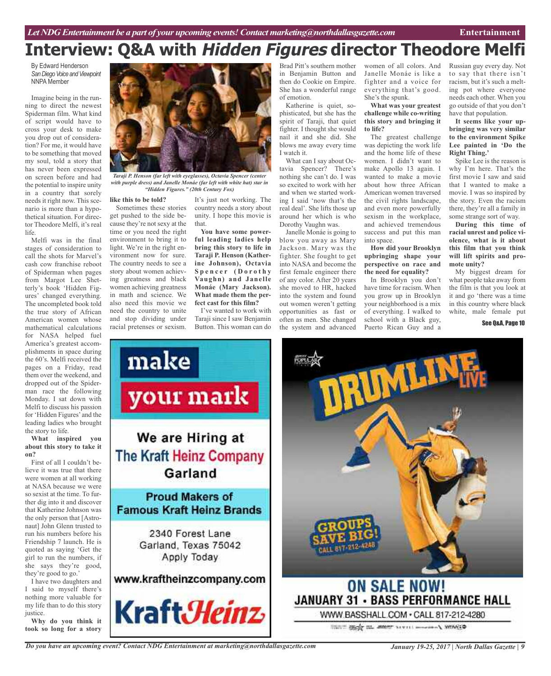## **Interview: Q&A with Hidden Figures director Theodore Melfi**

By Edward Henderson **San Diego Voice and Viewpoint** NNPA Member

Imagine being in the running to direct the newest Spiderman film. What kind of script would have to cross your desk to make you drop out of consideration? For me, it would have to be something that moved my soul, told a story that has never been expressed on screen before and had the potential to inspire unity in a country that sorely needs it right now. This scenario is more than a hypothetical situation. For director Theodore Melfi, it's real life.

Melfi was in the final stages of consideration to call the shots for Marvel's cash cow franchise reboot of Spiderman when pages from Margot Lee Shetterly's book 'Hidden Figures' changed everything. The uncompleted book told the true story of African American women whose mathematical calculations for NASA helped fuel America's greatest accomplishments in space during the 60's. Melfi received the pages on a Friday, read them over the weekend, and dropped out of the Spiderman race the following Monday. I sat down with Melfi to discuss his passion for 'Hidden Figures' and the leading ladies who brought the story to life.

#### **What inspired you about this story to take it on?**

First of all I couldn't believe it was true that there were women at all working at NASA because we were so sexist at the time. To further dig into it and discover that Katherine Johnson was the only person that [Astronaut] John Glenn trusted to run his numbers before his Friendship 7 launch. He is quoted as saying 'Get the girl to run the numbers, if she says they're good, they're good to go.'

I have two daughters and I said to myself there's nothing more valuable for my life than to do this story justice.

**Why do you think it took so long for a story**



*Taraji P. Henson (far left with eyeglasses), Octavia Spencer (center with purple dress) and Janelle Monáe (far left with white hat) star in "Hidden Figures." (20th Century Fox)*

#### **like this to be told?**

Sometimes these stories get pushed to the side because they're not sexy at the time or you need the right environment to bring it to light. We're in the right environment now for sure. The country needs to see a story about women achieving greatness and black women achieving greatness in math and science. We also need this movie we need the country to unite and stop dividing under racial pretenses or sexism.

make

It's just not working. The country needs a story about unity. I hope this movie is that.

**You have some powerful leading ladies help bring this story to life in Taraji P. Henson (Katherine Johnson), Octavia S p e n c e r ( D o r o t h y Vaughn) and Janelle Monáe (Mary Jackson). What made them the perfect cast for this film?**

I've wanted to work with Taraji since I saw Benjamin Button. This woman can do

Brad Pitt's southern mother in Benjamin Button and then do Cookie on Empire. She has a wonderful range of emotion.

Katherine is quiet, sophisticated, but she has the spirit of Taraji, that quiet fighter. I thought she would nail it and she did. She blows me away every time I watch it.

What can I say about Octavia Spencer? There's nothing she can't do. I was so excited to work with her and when we started working I said 'now that's the real deal'. She lifts those up around her which is who Dorothy Vaughn was.

Janelle Monáe is going to blow you away as Mary Jackson. Mary was the fighter. She fought to get into NASA and become the first female engineer there of any color. After 20 years she moved to HR, hacked into the system and found out women weren't getting opportunities as fast or often as men. She changed the system and advanced

women of all colors. And Janelle Monáe is like a fighter and a voice for everything that's good. She's the spunk.

#### **What was your greatest challenge while co-writing this story and bringing it to life?**

The greatest challenge was depicting the work life and the home life of these women. I didn't want to make Apollo 13 again. I wanted to make a movie about how three African American women traversed the civil rights landscape, and even more powerfully sexism in the workplace, and achieved tremendous success and put this man into space.

**How did your Brooklyn upbringing shape your perspective on race and the need for equality?**

In Brooklyn you don't have time for racism. When you grow up in Brooklyn your neighborhood is a mix of everything. I walked to school with a Black guy, Puerto Rican Guy and a

Russian guy every day. Not to say that there isn't racism, but it's such a melting pot where everyone needs each other. When you go outside of that you don't have that population.

**It seems like your upbringing was very similar to the environment Spike Lee painted in 'Do the Right Thing.'**

Spike Lee is the reason is why I'm here. That's the first movie I saw and said that I wanted to make a movie. I was so inspired by the story. Even the racism there, they're all a family in some strange sort of way.

**During this time of racial unrest and police violence, what is it about this film that you think will lift spirits and promote unity?**

My biggest dream for what people take away from the film is that you look at it and go 'there was a time in this country where black white, male female put

See O&A, Page 10



THAT SEEN A MOST SEVERAL MONEY WINNING

*Do you have an upcoming event? Contact NDG Entertainment at marketing@northdallasgazette.com*

*January 19-25, 2017 | North Dallas Gazette | 9*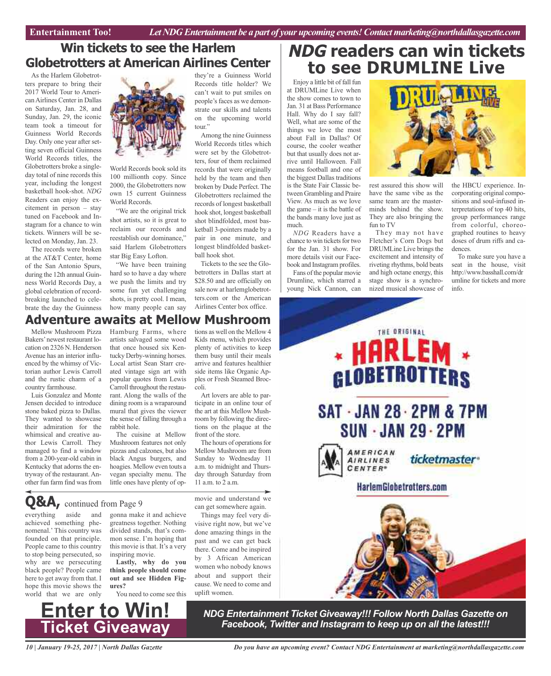### **Win tickets to see the Harlem Globetrotters at American Airlines Center**

As the Harlem Globetrotters prepare to bring their 2017 World Tour to AmericanAirlines Center in Dallas on Saturday, Jan. 28, and Sunday, Jan. 29, the iconic team took a timeout for Guinness World Records Day. Only one year after setting seven official Guinness World Records titles, the Globetrotters broke a singleday total of nine records this year, including the longest basketball hook-shot. *NDG* Readers can enjoy the excitement in person – stay tuned on Facebook and Instagram for a chance to win tickets. Winners will be selected on Monday, Jan. 23.

The records were broken at the AT&T Center, home of the San Antonio Spurs, during the 12th annual Guinness World Records Day, a global celebration of recordbreaking launched to celebrate the day the Guinness



World Records book sold its 100 millionth copy. Since 2000, the Globetrotters now own 15 current Guinness World Records.

"We are the original trick shot artists, so it is great to reclaim our records and reestablish our dominance," said Harlem Globetrotters star Big Easy Lofton.

"We have been training hard so to have a day where we push the limits and try some fun yet challenging shots, is pretty cool. I mean, how many people can say they're a Guinness World Records title holder? We can't wait to put smiles on people's faces as we demonstrate our skills and talents on the upcoming world tour."

Among the nine Guinness World Records titles which were set by the Globetrotters, four of them reclaimed records that were originally held by the team and then broken by Dude Perfect. The Globetrotters reclaimed the records of longest basketball hook shot, longest basketball shot blindfolded, most basketball 3-pointers made by a pair in one minute, and longest blindfolded basketball hook shot.

Tickets to the see the Globetrotters in Dallas start at \$28.50 and are officially on sale now at harlemglobetrotters.com or the American Airlines Center box office.

### **Adventure awaits at Mellow Mushroom**

Mellow Mushroom Pizza Bakers'newest restaurant location on 2326 N. Henderson Avenue has an interior influenced by the whimsy of Victorian author Lewis Carroll and the rustic charm of a country farmhouse.

Luis Gonzalez and Monte Jensen decided to introduce stone baked pizza to Dallas. They wanted to showcase their admiration for the whimsical and creative author Lewis Carroll. They managed to find a window from a 200-year-old cabin in Kentucky that adorns the entryway of the restaurant. Another fun farm find was from

Hamburg Farms, where artists salvaged some wood that once housed six Kentucky Derby-winning horses. Local artist Sean Starr created vintage sign art with popular quotes from Lewis Carroll throughout the restaurant. Along the walls of the dining room is a wraparound mural that gives the viewer the sense of falling through a rabbit hole.

The cuisine at Mellow Mushroom features not only pizzas and calzones, but also black Angus burgers, and hoagies. Mellow even touts a vegan specialty menu. The little ones have plenty of options as well on the Mellow 4 Kids menu, which provides plenty of activities to keep them busy until their meals arrive and features healthier side items like Organic Apples or Fresh Steamed Broccoli.

Art lovers are able to participate in an online tour of the art at this Mellow Mushroom by following the directions on the plaque at the front of the store.

The hours of operations for Mellow Mushroom are from Sunday to Wednesday 11 a.m. to midnight and Thursday through Saturday from 11 a.m. to 2 a.m.

movie and understand we can get somewhere again.

Things may feel very divisive right now, but we've done amazing things in the past and we can get back there. Come and be inspired by 3 African American women who nobody knows about and support their cause. We need to come and uplift women.

### **NDG readers can win tickets to see DRUMLINE Live**

Enjoy a little bit of fall fun at DRUMLine Live when the show comes to town to Jan. 31 at Bass Performance Hall. Why do I say fall? Well, what are some of the things we love the most about Fall in Dallas? Of course, the cooler weather but that usually does not arrive until Halloween. Fall means football and one of the biggest Dallas traditions is the State Fair Classic between Grambling and Praire View. As much as we love the game – it is the battle of the bands many love just as much.

*NDG* Readers have a chance to win tickets for two for the Jan. 31 show. For more details visit our Facebook and Instagram profiles.

Fans of the popular movie Drumline, which starred a young Nick Cannon, can



rest assured this show will have the same vibe as the same team are the masterminds behind the show. They are also bringing the fun to TV

They may not have Fletcher's Corn Dogs but DRUMLine Live brings the excitement and intensity of riveting rhythms, bold beats and high octane energy, this stage show is a synchronized musical showcase of the HBCU experience. Incorporating original compositions and soul-infused interpretations of top 40 hits, group performances range from colorful, choreographed routines to heavy doses of drum riffs and cadences.

To make sure you have a seat in the house, visit http://www.basshall.com/dr umline for tickets and more info.



**Q&A,** continued from Page <sup>9</sup>

everything aside and achieved something phenomenal.' This country was founded on that principle. People came to this country to stop being persecuted, so why are we persecuting black people? People came here to get away from that. I hope this movie shows the world that we are only

gonna make it and achieve greatness together. Nothing divided stands, that's common sense. I'm hoping that this movie is that. It's a very inspiring movie.

**Lastly, why do you think people should come out and see Hidden Figures?**

You need to come see this

*NDG Entertainment Ticket Giveaway!!! Follow North Dallas Gazette on Facebook, Twitter and Instagram to keep up on all the latest!!!*

*10 | January 19-25, 2017 | North Dallas Gazette*

**Enter to Win!**

**Ticket Giveaway**

*Do you have an upcoming event? Contact NDG Entertainment at marketing@northdallasgazette.com*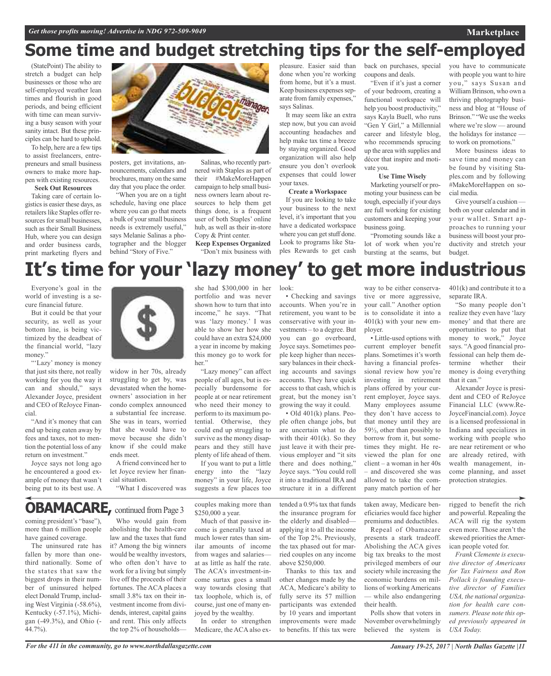## **Some time and budget stretching tips for the self-employed**

(StatePoint) The ability to stretch a budget can help businesses or those who are self-employed weather lean times and flourish in good periods, and being efficient with time can mean surviving a busy season with your sanity intact. But these principles can be hard to uphold.

To help, here are a few tips to assist freelancers, entrepreneurs and small business owners to make more happen with existing resources.

#### **Seek Out Resources**

Taking care of certain logistics is easier these days, as retailers like Staples offer resources for small businesses, such as their Small Business Hub, where you can design and order business cards, print marketing flyers and



nouncements, calendars and brochures, many on the same day that you place the order.

"When you are on a tight schedule, having one place where you can go that meets a bulk of your small business needs is extremely useful," says Melanie Salinas a photographer and the blogger behind "Story of Five."

Salinas, who recently partnered with Staples as part of their #MakeMoreHappen campaign to help small business owners learn about resources to help them get things done, is a frequent user of both Staples' online hub, as well as their in-store Copy & Print center.

**Keep Expenses Organized** "Don't mix business with pleasure. Easier said than done when you're working from home, but it's a must. Keep business expenses separate from family expenses," says Salinas.

It may seem like an extra step now, but you can avoid accounting headaches and help make tax time a breeze by staying organized. Good organization will also help ensure you don't overlook expenses that could lower your taxes.

#### **Create a Workspace**

If you are looking to take your business to the next level, it's important that you have a dedicated workspace where you can get stuff done. Look to programs like Staples Rewards to get cash back on purchases, special coupons and deals.

"Even if it's just a corner of your bedroom, creating a functional workspace will help you boost productivity," says Kayla Buell, who runs "Gen Y Girl," a Millennial career and lifestyle blog, who recommends sprucing up the area with supplies and décor that inspire and motivate you.

#### **Use Time Wisely**

Marketing yourself or promoting your business can be tough, especially if your days are full working for existing customers and keeping your business going.

"Promoting sounds like a lot of work when you're bursting at the seams, but

you have to communicate with people you want to hire you," says Susan and William Brinson, who own a thriving photography business and blog at "House of Brinson." "We use the weeks where we're slow — around the holidays for instance to work on promotions."

**Marketplace**

More business ideas to save time and money can be found by visiting Staples.com and by following #MakeMoreHappen on social media.

Give yourself a cushion both on your calendar and in your wallet. Smart approaches to running your business will boost your productivity and stretch your budget.

## **It's time for your 'lazy money' to get more industrious**

Everyone's goal in the world of investing is a secure financial future.

But it could be that your security, as well as your bottom line, is being victimized by the deadbeat of the financial world, "lazy money."

"'Lazy' money is money that just sits there, not really working for you the way it can and should," says Alexander Joyce, president and CEO of ReJoyce Financial.

"And it's money that can end up being eaten away by fees and taxes, not to mention the potential loss of any return on investment."

Joyce says not long ago he encountered a good example of money that wasn't being put to its best use. A



widow in her 70s, already struggling to get by, was devastated when the homeowners' association in her condo complex announced a substantial fee increase. She was in tears, worried that she would have to move because she didn't know if she could make ends meet.

A friend convinced her to let Joyce review her financial situation. "What I discovered was she had \$300,000 in her portfolio and was never shown how to turn that into income," he says. "That was 'lazy money.' I was able to show her how she could have an extra \$24,000 a year in income by making this money go to work for her."

"Lazy money" can affect people of all ages, but is especially burdensome for people at or near retirement who need their money to perform to its maximum potential. Otherwise, they could end up struggling to survive as the money disappears and they still have plenty of life ahead of them.

If you want to put a little energy into the "lazy money" in your life, Joyce suggests a few places too

look:

• Checking and savings accounts. When you're in retirement, you want to be conservative with your investments – to a degree. But you can go overboard, Joyce says. Sometimes people keep higher than necessary balances in their checking accounts and savings accounts. They have quick access to that cash, which is great, but the money isn't growing the way it could. • Old 401(k) plans. Peo-

ple often change jobs, but are uncertain what to do with their 401(k). So they just leave it with their previous employer and "it sits there and does nothing," Joyce says. "You could roll it into a traditional IRA and structure it in a different

tended a 0.9% tax that funds the insurance program for the elderly and disabled applying it to all the income of the Top 2%. Previously, the tax phased out for married couples on any income above \$250,000.

Thanks to this tax and other changes made by the ACA, Medicare's ability to fully serve its 57 million participants was extended by 10 years and important improvements were made to benefits. If this tax were

way to be either conservative or more aggressive, your call." Another option is to consolidate it into a  $401(k)$  with your new employer.

• Little-used options with current employer benefit plans. Sometimes it's worth having a financial professional review how you're investing in retirement plans offered by your current employer, Joyce says. Many employees assume they don't have access to that money until they are 59½, other than possibly to borrow from it, but sometimes they might. He reviewed the plan for one client – a woman in her 40s – and discovered she was allowed to take the company match portion of her

taken away, Medicare beneficiaries would face higher premiums and deductibles.

Repeal of Obamacare presents a stark tradeoff. Abolishing the ACA gives big tax breaks to the most privileged members of our society while increasing the economic burdens on millions of working Americans — while also endangering their health.

Polls show that voters in November overwhelmingly believed the system is 401(k) and contribute it to a separate IRA.

"So many people don't realize they even have 'lazy money' and that there are opportunities to put that money to work," Joyce says. "A good financial professional can help them determine whether their money is doing everything that it can."

Alexander Joyce is president and CEO of ReJoyce Financial LLC (www.Re-JoyceFinancial.com). Joyce is a licensed professional in Indiana and specializes in working with people who are near retirement or who are already retired, with wealth management, income planning, and asset protection strategies.

rigged to benefit the rich and powerful. Repealing the ACA will rig the system even more. Those aren't the skewed priorities the American people voted for.

*Frank Clemente is executive director of Americans for Tax Fairness and Ron Pollack is founding executive director of Families USA, the national organization for health care consumers. Please note this oped previously appeared in USA Today.*

### **OBAMACARE, continued from Page 3**

coming president's "base"), more than 6 million people have gained coverage.

The uninsured rate has fallen by more than onethird nationally. Some of the states that saw the biggest drops in their number of uninsured helped elect Donald Trump, including West Virginia (-58.6%), Kentucky (-57.1%), Michigan (-49.3%), and Ohio (- 44.7%).

Who would gain from abolishing the health-care law and the taxes that fund it? Among the big winners would be wealthy investors, who often don't have to

work for a living but simply live off the proceeds of their fortunes. The ACA places a small 3.8% tax on their investment income from dividends, interest, capital gains and rent. This only affects the top 2% of householdscouples making more than \$250,000 a year.

Much of that passive income is generally taxed at much lower rates than similar amounts of income from wages and salaries at as little as half the rate. The ACA's investment-income surtax goes a small way towards closing that tax loophole, which is, of course, just one of many enjoyed by the wealthy.

In order to strengthen Medicare, the ACA also ex-

*For the 411 in the community, go to www.northdallasgazette.com*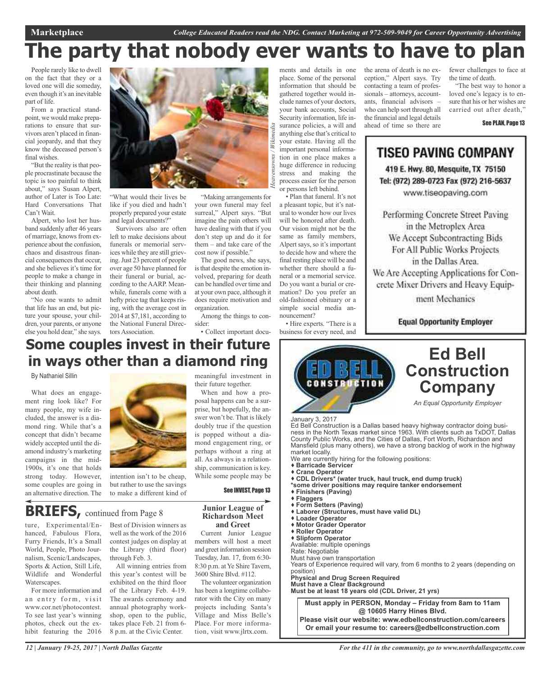# **The party that nobody ever wants to have to plan**

*Heavensowns / Wikimedia*

People rarely like to dwell on the fact that they or a loved one will die someday, even though it's an inevitable part of life.

From a practical standpoint, we would make preparations to ensure that survivors aren't placed in financial jeopardy, and that they know the deceased person's final wishes.

"But the reality is that people procrastinate because the topic is too painful to think about," says Susan Alpert, author of Later is Too Late: Hard Conversations That Can't Wait.

Alpert, who lost her husband suddenly after 46 years of marriage, knows from experience about the confusion, chaos and disastrous financial consequences that occur. and she believes it's time for people to make a change in their thinking and planning about death.

"No one wants to admit that life has an end, but picture your spouse, your children, your parents, or anyone else you hold dear," she says.



"What would their lives be like if you died and hadn't properly prepared your estate and legal documents?"

Survivors also are often left to make decisions about funerals or memorial services while they are still grieving.Just 23 percent of people over age 50 have planned for their funeral or burial, according to the AARP. Meanwhile, funerals come with a hefty price tag that keeps rising, with the average cost in 2014 at \$7,181, according to the National Funeral Directors Association.

"Making arrangements for your own funeral may feel surreal," Alpert says. "But imagine the pain others will have dealing with that if you don't step up and do it for them – and take care of the cost now if possible."

The good news, she says, is that despite the emotion involved, preparing for death can be handled over time and at your own pace, although it does require motivation and organization. Among the things to con-

sider:

ments and details in one place. Some of the personal information that should be gathered together would include names of your doctors, your bank accounts, Social Security information, life insurance policies, a will and anything else that's critical to your estate. Having all the important personal information in one place makes a huge difference in reducing stress and making the process easier for the person or persons left behind.

• Plan that funeral. It's not a pleasant topic, but it's natural to wonder how our lives will be honored after death. Our vision might not be the same as family members, Alpert says, so it's important to decide how and where the final resting place will be and whether there should a funeral or a memorial service. Do you want a burial or cremation? Do you prefer an old-fashioned obituary or a simple social media announcement?

• Hire experts. "There is a business for every need, and the arena of death is no exception," Alpert says. Try contacting a team of professionals – attorneys, accountants, financial advisors – who can help sort through all the financial and legal details ahead of time so there are

fewer challenges to face at the time of death.

"The best way to honor a loved one's legacy is to ensure that his or her wishes are carried out after death,"

See PLAN, Page 13

### TISEO PAVING COMPANY 419 E. Hwy. 80, Mesquite, TX 75150 Tel: (972) 289-0723 Fax (972) 216-5637 www.tiseopaving.com

Performing Concrete Street Paving in the Metroplex Area We Accept Subcontracting Bids For All Public Works Projects in the Dallas Area. We Are Accepting Applications for Concrete Mixer Drivers and Heavy Equipment Mechanics

**Equal Opportunity Employer** 

### • Collect important docu-**Some couples invest in their future in ways other than a diamond ring**

By Nathaniel Sillin

What does an engagement ring look like? For many people, my wife included, the answer is a diamond ring. While that's a concept that didn't became widely accepted until the diamond industry's marketing campaigns in the mid-1900s, it's one that holds strong today. However, some couples are going in an alternative direction. The



intention isn't to be cheap, but rather to use the savings to make a different kind of meaningful investment in their future together.

When and how a proposal happens can be a surprise, but hopefully, the answer won't be. That is likely doubly true if the question is popped without a diamond engagement ring, or perhaps without a ring at all. As always in a relationship, communication is key. While some people may be

See INVEST, Page 13

## **BRIEFS,** continued from Page <sup>8</sup>

ture, Experimental/Enhanced, Fabulous Flora, Furry Friends, It's a Small World, People, Photo Journalism, Scenic/Landscapes, Sports & Action, Still Life, Wildlife and Wonderful Waterscapes.

For more information and an entry form, visit www.cor.net/photocontest. To see last year's winning photos, check out the exhibit featuring the 2016 Best of Division winners as well as the work of the 2016 contest judges on display at the Library (third floor) through Feb. 3.

All winning entries from this year's contest will be exhibited on the third floor of the Library Feb. 4-19. The awards ceremony and annual photography workshop, open to the public, takes place Feb. 21 from 6- 8 p.m. at the Civic Center.

**Junior League of Richardson Meet and Greet**

Current Junior League members will host a meet and greet information session Tuesday, Jan. 17, from 6:30- 8:30 p.m. at Ye Shire Tavern, 3600 Shire Blvd. #112.

The volunteer organization has been a longtime collaborator with the City on many projects including Santa's Village and Miss Belle's Place. For more information, visit www.jlrtx.com.



**Must apply in PERSON, Monday – Friday from 8am to 11am @ 10605 Harry Hines Blvd. Please visit our website: www.edbellconstruction.com/careers**

**Or email your resume to: careers@edbellconstruction.com**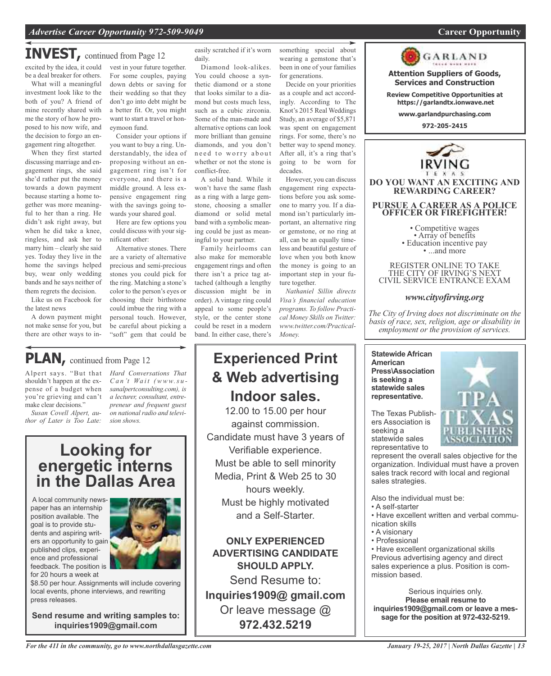### **INVEST,** continued from Page <sup>12</sup>

excited by the idea, it could be a deal breaker for others.

What will a meaningful investment look like to the both of you? A friend of mine recently shared with me the story of how he proposed to his now wife, and the decision to forgo an engagement ring altogether.

When they first started discussing marriage and engagement rings, she said she'd rather put the money towards a down payment because starting a home together was more meaningful to her than a ring. He didn't ask right away, but when he did take a knee, ringless, and ask her to marry him – clearly she said yes. Today they live in the home the savings helped buy, wear only wedding bands and he says neither of them regrets the decision.

Like us on Facebook for the latest news

A down payment might not make sense for you, but there are other ways to in-

shouldn't happen at the expense of a budget when you're grieving and can't make clear decisions." *Susan Covell Alpert, author of Later is Too Late:*

**PLAN,** continued from Page <sup>12</sup>

vest in your future together. For some couples, paying down debts or saving for their wedding so that they don't go into debt might be a better fit. Or, you might want to start a travel or honeymoon fund.

Consider your options if you want to buy a ring. Understandably, the idea of proposing without an engagement ring isn't for everyone, and there is a middle ground. A less expensive engagement ring with the savings going towards your shared goal.

Here are few options you could discuss with your significant other:

Alternative stones. There are a variety of alternative precious and semi-precious stones you could pick for the ring. Matching a stone's color to the person's eyes or choosing their birthstone could imbue the ring with a personal touch. However, be careful about picking a "soft" gem that could be

*Ca n 't Wa i t (www.s u sanalpertconsulting.com), is a lecturer, consultant, entrepreneur and frequent guest on national radio and televi-* easily scratched if it's worn daily.

Diamond look-alikes. You could choose a synthetic diamond or a stone that looks similar to a diamond but costs much less, such as a cubic zirconia. Some of the man-made and alternative options can look more brilliant than genuine diamonds, and you don't need to worry about whether or not the stone is conflict-free.

A solid band. While it won't have the same flash as a ring with a large gemstone, choosing a smaller diamond or solid metal band with a symbolic meaning could be just as meaningful to your partner.

Family heirlooms can also make for memorable engagement rings and often there isn't a price tag attached (although a lengthy discussion might be in order). A vintage ring could appeal to some people's style, or the center stone could be reset in a modern band. In either case, there's

something special about wearing a gemstone that's been in one of your families for generations.

Decide on your priorities as a couple and act accordingly. According to The Knot's 2015 Real Weddings Study, an average of \$5,871 was spent on engagement rings. For some, there's no better way to spend money. After all, it's a ring that's going to be worn for decades.

However, you can discuss engagement ring expectations before you ask someone to marry you. If a diamond isn't particularly important, an alternative ring or gemstone, or no ring at all, can be an equally timeless and beautiful gesture of love when you both know the money is going to an important step in your future together.

*Nathaniel Sillin directs Visa's financial education programs. To follow Practical Money Skills on Twitter: www.twitter.com/Practical-Money.*

## **Experienced Print & Web advertising Indoor sales.**

12.00 to 15.00 per hour against commission. Candidate must have 3 years of Verifiable experience. Must be able to sell minority Media, Print & Web 25 to 30 hours weekly. Must be highly motivated and a Self-Starter.

**ONLY EXPERIENCED ADVERTISING CANDIDATE SHOULD APPLY.**

Send Resume to: **Inquiries1909@ gmail.com** Or leave message @ **972.432.5219**

GARLAND

**Attention Suppliers of Goods, Services and Construction**

**Review Competitive Opportunities at https://garlandtx.ionwave.net**

**www.garlandpurchasing.com**

**972-205-2415**



REGISTER ONLINE TO TAKE THE CITY OF IRVING'S NEXT CIVIL SERVICE ENTRANCE EXAM

#### *www.cityofirving.org*

*The City of Irving does not discriminate on the basis of race, sex, religion, age or disability in employment or the provision of services.*

**Statewide African American Press\Association is seeking a statewide sales representative.**

The Texas Publishers Association is seeking a statewide sales representative to



represent the overall sales objective for the organization. Individual must have a proven sales track record with local and regional sales strategies.

Also the individual must be:

- A self-starter
- Have excellent written and verbal communication skills
- A visionary
- Professional

• Have excellent organizational skills Previous advertising agency and direct sales experience a plus. Position is commission based.

Serious inquiries only. **Please email resume to inquiries1909@gmail.com or leave a message for the position at 972-432-5219.**

**energetic interns in the Dallas Area** A local community newspaper has an internship

*sion shows.*

**Looking for**

Alpert says. "But that *Hard Conversations That*

position available. The goal is to provide students and aspiring writers an opportunity to gain published clips, experience and professional feedback. The position is for 20 hours a week at



\$8.50 per hour. Assignments will include covering local events, phone interviews, and rewriting press releases.

**Send resume and writing samples to: inquiries1909@gmail.com**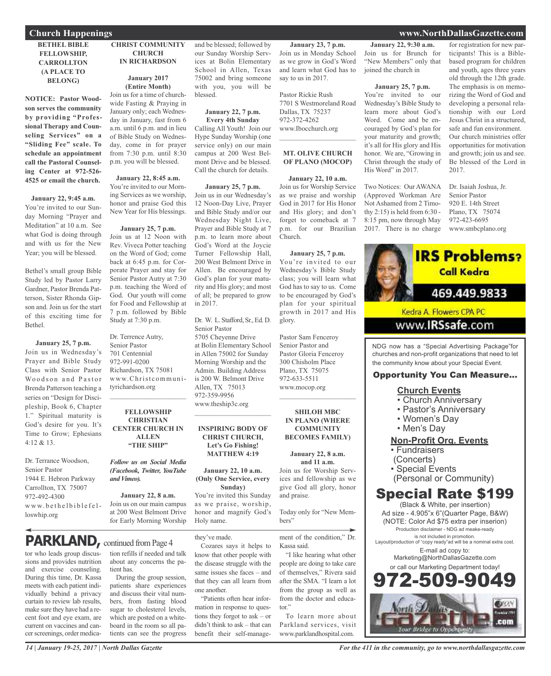#### **BETHEL BIBLE FELLOWSHIP, CARROLLTON (A PLACE TO BELONG)**

**NOTICE: Pastor Woodson serves the community by providing "Professional Therapy and Counseling Services" on a "Sliding Fee" scale. To schedule an appointment call the Pastoral Counseling Center at 972-526- 4525 or email the church.**

#### **January 22, 9:45 a.m.**

You're invited to our Sunday Morning "Prayer and Meditation" at 10 a.m. See what God is doing through and with us for the New Year; you will be blessed.

Bethel's small group Bible Study led by Pastor Larry Gardner, Pastor Brenda Patterson, Sister Rhonda Gipson and. Join us for the start of this exciting time for Bethel.

**January 25, 7 p.m.** Join us in Wednesday's Prayer and Bible Study Class with Senior Pastor Woodson and Pastor Brenda Patterson teaching a series on "Design for Discipleship, Book 6, Chapter 1." Spiritual maturity is God's desire for you. It's Time to Grow; Ephesians 4:12 & 13.

Dr. Terrance Woodson, Senior Pastor 1944 E. Hebron Parkway Carrollton, TX 75007 972-492-4300 www.bethelbiblefelloswhip.org

#### **CHRIST COMMUNITY CHURCH IN RICHARDSON**

#### **January 2017 (Entire Month)**

Join us for a time of churchwide Fasting & Praying in January only; each Wednesday in January, fast from 6 a.m. until 6 p.m. and in lieu of Bible Study on Wednesday, come in for prayer from 7:30 p.m. until 8:30 p.m. you will be blessed.

**January 22, 8:45 a.m.**

You're invited to our Morning Services as we worship, honor and praise God this New Year for His blessings.

#### **January 25, 7 p.m.**

Join us at 12 Noon with Rev. Viveca Potter teaching on the Word of God; come back at 6:45 p.m. for Corporate Prayer and stay for Senior Pastor Autry at 7:30 p.m. teaching the Word of God. Our youth will come for Food and Fellowship at 7 p.m. followed by Bible Study at 7:30 p.m.

Dr. Terrence Autry, Senior Pastor 701 Centennial 972-991-0200 Richardson, TX 75081 www.Christcommunityrichardson.org  $\mathcal{L}_\text{max}$  and  $\mathcal{L}_\text{max}$  and  $\mathcal{L}_\text{max}$ 

#### **FELLOWSHIP CHRISTIAN CENTER CHURCH IN ALLEN "THE SHIP"**

*Follow us on Social Media (Facebook, Twitter, YouTube andVimeo).*

**January 22, 8 a.m.** Join us on our main campus at 200 West Belmont Drive for Early Morning Worship

## **PARKLAND**, continued from Page 4

tor who leads group discussions and provides nutrition and exercise counseling. During this time, Dr. Kassa meets with each patient individually behind a privacy curtain to review lab results, make sure they have had a recent foot and eye exam, are current on vaccines and cancer screenings, order medication refills if needed and talk about any concerns the patient has. During the group session,

patients share experiences and discuss their vital numbers, from fasting blood sugar to cholesterol levels, which are posted on a whiteboard in the room so all patients can see the progress and be blessed; followed by our Sunday Worship Services at Bolin Elementary School in Allen, Texas 75002 and bring someone with you, you will be blessed.

#### **January 22, 7 p.m. Every 4th Sunday**

Calling All Youth! Join our Hype Sunday Worship (one service only) on our main campus at 200 West Belmont Drive and be blessed. Call the church for details.

#### **January 25, 7 p.m.**

Join us in our Wednesday's 12 Noon-Day Live, Prayer and Bible Study and/or our Wednesday Night Live, Prayer and Bible Study at 7 p.m. to learn more about God's Word at the Joycie Turner Fellowship Hall, 200 West Belmont Drive in Allen. Be encouraged by God's plan for your maturity and His glory; and most of all; be prepared to grow in 2017.

#### Dr. W. L. Stafford, Sr., Ed. D. Senior Pastor 5705 Cheyenne Drive at Bolin Elementary School in Allen 75002 for Sunday Morning Worship and the Admin. Building Address

is 200 W. Belmont Drive Allen, TX 75013 972-359-9956

www.theship3c.org  $\overline{\phantom{a}}$  , and the set of the set of the set of the set of the set of the set of the set of the set of the set of the set of the set of the set of the set of the set of the set of the set of the set of the set of the s

#### **INSPIRING BODY OF CHRIST CHURCH, Let's Go Fishing! MATTHEW 4:19**

**January 22, 10 a.m. (Only One Service, every Sunday)** You're invited this Sunday

as we praise, worship, honor and magnify God's Holy name.

know that other people with the disease struggle with the same issues she faces – and that they can all learn from

"Patients often hear information in response to questions they forgot to ask – or didn't think to ask – that can benefit their self-manage-

they've made.

one another.

Cozares says it helps to ment of the condition," Dr. Kassa said.

and praise.

bers"

"I like hearing what other people are doing to take care of themselves," Rivera said after the SMA. "I learn a lot from the group as well as from the doctor and educator"

To learn more about Parkland services, visit www.parklandhospital.com.

**January 22, 9:30 a.m.** Join us for Brunch for "New Members" only that joined the church in

**January 23, 7 p.m.** Join us in Monday School as we grow in God's Word and learn what God has to

7701 S Westmoreland Road

**MT. OLIVE CHURCH OF PLANO (MOCOP)**

**January 22, 10 a.m.** Join us for Worship Service as we praise and worship God in 2017 for His Honor and His glory; and don't forget to comeback at 7 p.m. for our Brazilian

**January 25, 7 p.m.** You're invited to our Wednesday's Bible Study class; you will learn what God has to say to us. Come to be encouraged by God's plan for your spiritual growth in 2017 and His

Church.

glory.

Pastor Sam Fenceroy Senior Pastor and Pastor Gloria Fenceroy 300 Chisholm Place Plano, TX 75075 972-633-5511 www.mocop.org

 $\mathcal{L}$  , and the set of the set of the set of the set of the set of the set of the set of the set of the set of the set of the set of the set of the set of the set of the set of the set of the set of the set of the set

**SHILOH MBC IN PLANO (WHERE COMMUNITY BECOMES FAMILY)**

**January 22, 8 a.m. and 11 a.m.** Join us for Worship Services and fellowship as we give God all glory, honor

Today only for "New Mem-

say to us in 2017.

Pastor Rickie Rush

Dallas, TX 75237 972-372-4262 www.Ibocchurch.org  $\mathcal{L}$  , and the set of the set of the set of the set of the set of the set of the set of the set of the set of the set of the set of the set of the set of the set of the set of the set of the set of the set of the set

#### **January 25, 7 p.m.**

You're invited to our Wednesday's Bible Study to learn more about God's Word. Come and be encouraged by God's plan for your maturity and growth; it's all for His glory and His honor. We are, "Growing in Christ through the study of His Word" in 2017.

Two Notices: Our AWANA (Approved Workman Are Not Ashamed from 2 Timothy 2:15) is held from 6:30 - 8:15 pm, now through May 2017. There is no charge

for registration for new participants! This is a Biblebased program for children and youth, ages three years old through the 12th grade. The emphasis is on memorizing the Word of God and developing a personal relationship with our Lord Jesus Christ in a structured, safe and fun environment. Our church ministries offer opportunities for motivation and growth; join us and see. Be blessed of the Lord in 2017.

Dr. Isaiah Joshua, Jr. Senior Pastor 920 E. 14th Street Plano, TX 75074 972-423-6695 www.smbcplano.org



### **Church Events**

- 
- Church Anniversary • Pastor's Anniversary
- 
- Women's Day • Men's Day
- 

#### **Non-Profit Org. Events** • Fundraisers

- (Concerts)
- 
- Special Events
- (Personal or Community)

### Special Rate \$199

(Black & White, per insertion) Ad size - 4.905"x 6"(Quarter Page, B&W) (NOTE: Color Ad \$75 extra per inserion) Production disclaimer - NDG ad meake-ready is not included in promotion. Layout/production of "copy ready"ad will be a nominal extra cost. E-mail ad copy to:

Marketing@NorthDallasGazette.com or call our Marketing Department today!



*14 | January 19-25, 2017 | North Dallas Gazette*

### **Church Happenings www.NorthDallasGazette.com**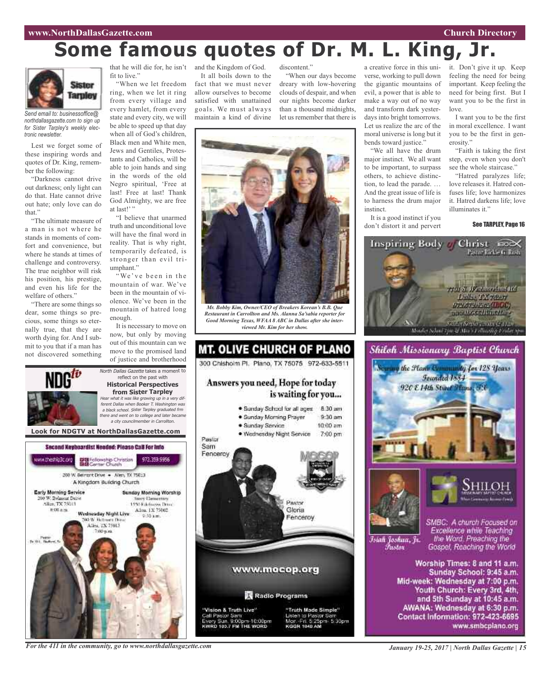#### **www.NorthDallasGazette.com Church Directory**

# **Some famous quotes of Dr. M. L. King, Jr.**



*Send email to: businessoffice@ northdallasgazette.com to sign up for Sister Tarpley's weekly electronic newsletter.*

Lest we forget some of these inspiring words and quotes of Dr. King, remember the following:

"Darkness cannot drive out darkness; only light can do that. Hate cannot drive out hate; only love can do that."

"The ultimate measure of a man is not where he stands in moments of comfort and convenience, but where he stands at times of challenge and controversy. The true neighbor will risk his position, his prestige, and even his life for the welfare of others."

"There are some things so dear, some things so precious, some things so eternally true, that they are worth dying for. And I submit to you that if a man has not discovered something

ww.theship3c.org

Early Morning Service

0 W. Belmunt Drive

Alice TX 75013

# 00 a.m.

that he will die for, he isn't fit to live."

"When we let freedom ring, when we let it ring from every village and every hamlet, from every state and every city, we will be able to speed up that day when all of God's children, Black men and White men, Jews and Gentiles, Protestants and Catholics, will be able to join hands and sing in the words of the old Negro spiritual, 'Free at last! Free at last! Thank God Almighty, we are free at last!'"

"I believe that unarmed truth and unconditional love will have the final word in reality. That is why right, temporarily defeated, is stronger than evil triumphant."

"We've been in the mountain of war. We've been in the mountain of violence. We've been in the mountain of hatred long enough.

It is necessary to move on now, but only by moving out of this mountain can we move to the promised land of justice and brotherhood

reflect on the past with **Historical Perspectives from Sister Tarpley**

<sup>a</sup> city councilmember in Carrollton.

972.359.9956

**Novy Demectors** 

1450 Ethnologies Drug-

Allen, 1X 75002

Second Keyboardist Needed: Please CaB For Info

DE Fellowship Christian<br>BIB Center Church

200 W. Bernsht Drive . - Allen, TX 75013 A Kingdom Building Church

Wadnasday Night Live

**DO W. Retroem Days** 

Allen, TX 75013

and the Kingdom of God.

It all boils down to the fact that we must never allow ourselves to become satisfied with unattained goals. We must always maintain a kind of divine

discontent." "When our days become dreary with low-hovering clouds of despair, and when our nights become darker than a thousand midnights,

let us remember that there is



*Mr. Bobby Kim, Owner/CEO of Breakers Korean's B.B. Que Restaurant in Carrollton and Ms. Alanna Sa'sabia reporter for Good Morning Texas, WFAA 8 ABC in Dallas after she interviewed Mr. Kim for her show.*



a creative force in this universe, working to pull down the gigantic mountains of evil, a power that is able to make a way out of no way and transform dark yesterdays into bright tomorrows. Let us realize the arc of the moral universe is long but it bends toward justice."

"We all have the drum major instinct. We all want to be important, to surpass others, to achieve distinction, to lead the parade. … And the great issue of life is to harness the drum major instinct.

It is a good instinct if you don't distort it and pervert it. Don't give it up. Keep feeling the need for being important. Keep feeling the need for being first. But I want you to be the first in love.

I want you to be the first in moral excellence. I want you to be the first in generosity."

"Faith is taking the first step, even when you don't see the whole staircase."

"Hatred paralyzes life; love releases it. Hatred confuses life; love harmonizes it. Hatred darkens life; love illuminates it."

See TARPLEY, Page 16





Islah Joshua, Jr. Fustor

SMBC: A church Focused on Excellence while Teaching the Word. Preaching the Gospel, Reaching the World

Worship Times: 8 and 11 a.m. Sunday School: 9:45 a.m. Mid-week: Wednesday at 7:00 p.m. Youth Church: Every 3rd, 4th, and 5th Sunday at 10:45 a.m. AWANA: Wednesday at 6:30 p.m. Contact Information: 972-423-6695 www.smbcplano.org

*For the 411 in the community, go to www.northdallasgazette.com*